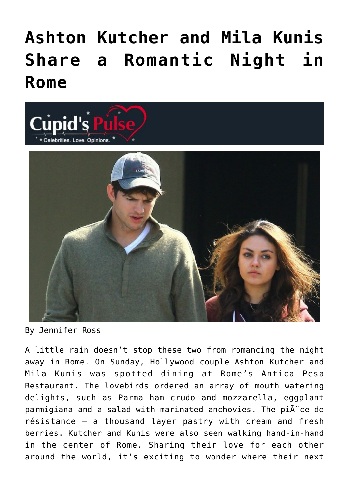## **[Ashton Kutcher and Mila Kunis](https://cupidspulse.com/41480/ashton-kutcher-mila-kunis-share-romantic-night-rome/) [Share a Romantic Night in](https://cupidspulse.com/41480/ashton-kutcher-mila-kunis-share-romantic-night-rome/) [Rome](https://cupidspulse.com/41480/ashton-kutcher-mila-kunis-share-romantic-night-rome/)**



By Jennifer Ross

A little rain doesn't stop these two from romancing the night away in Rome. On Sunday, Hollywood couple Ashton Kutcher and Mila Kunis was spotted dining at Rome's Antica Pesa Restaurant. The lovebirds ordered an array of mouth watering delights, such as Parma ham crudo and mozzarella, eggplant parmigiana and a salad with marinated anchovies. The pi $\tilde{A}$  ce de résistance – a thousand layer pastry with cream and fresh berries. Kutcher and Kunis were also seen walking hand-in-hand in the center of Rome. Sharing their love for each other around the world, it's exciting to wonder where their next